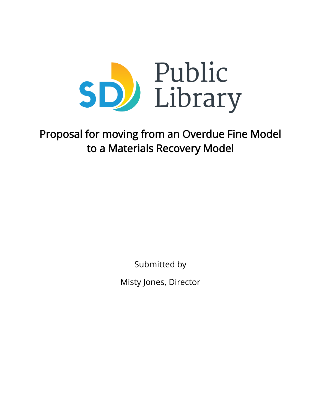

# Proposal for moving from an Overdue Fine Model to a Materials Recovery Model

Submitted by

Misty Jones, Director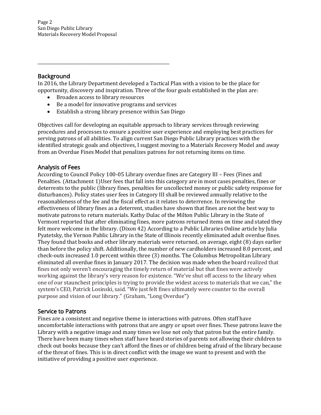#### Background

In 2016, the Library Department developed a Tactical Plan with a vision to be the place for opportunity, discovery and inspiration. Three of the four goals established in the plan are:

Broaden access to library resources

\_\_\_\_\_\_\_\_\_\_\_\_\_\_\_\_\_\_\_\_\_\_\_\_\_\_\_\_\_\_\_\_\_\_\_\_\_\_\_\_\_\_\_\_\_\_\_\_\_\_\_\_\_\_\_\_

- Be a model for innovative programs and services
- Establish a strong library presence within San Diego

Objectives call for developing an equitable approach to library services through reviewing procedures and processes to ensure a positive user experience and employing best practices for serving patrons of all abilities. To align current San Diego Public Library practices with the identified strategic goals and objectives, I suggest moving to a Materials Recovery Model and away from an Overdue Fines Model that penalizes patrons for not returning items on time.

# Analysis of Fees

According to Council Policy 100-05 Library overdue fines are Category III – Fees (Fines and Penalties. (Attachment 1)User fees that fall into this category are in most cases penalties, fines or deterrents to the public (library fines, penalties for uncollected money or public safety response for disturbances). Policy states user fees in Category III shall be reviewed annually relative to the reasonableness of the fee and the fiscal effect as it relates to deterrence. In reviewing the effectiveness of library fines as a deterrent, studies have shown that fines are not the best way to motivate patrons to return materials. Kathy Dulac of the Milton Public Library in the State of Vermont reported that after eliminating fines, more patrons returned items on time and stated they felt more welcome in the library. (Dixon 42) According to a Public Libraries Online article by Julia Pyatetsky, the Vernon Public Library in the State of Illinois recently eliminated adult overdue fines. They found that books and other library materials were returned, on average, eight (8) days earlier than before the policy shift. Additionally, the number of new cardholders increased 8.0 percent, and check-outs increased 1.0 percent within three (3) months. The Columbus Metropolitan Library eliminated all overdue fines in January 2017. The decision was made when the board realized that fines not only weren't encouraging the timely return of material but that fines were actively working against the library's very reason for existence. "We've shut off access to the library when one of our staunchest principles is trying to provide the widest access to materials that we can," the system's CEO, Patrick Losinski, said. "We just felt fines ultimately were counter to the overall purpose and vision of our library." (Graham, "Long Overdue")

# Service to Patrons

Fines are a consistent and negative theme in interactions with patrons. Often staff have uncomfortable interactions with patrons that are angry or upset over fines. These patrons leave the Library with a negative image and many times we lose not only that patron but the entire family. There have been many times when staff have heard stories of parents not allowing their children to check out books because they can't afford the fines or of children being afraid of the library because of the threat of fines. This is in direct conflict with the image we want to present and with the initiative of providing a positive user experience.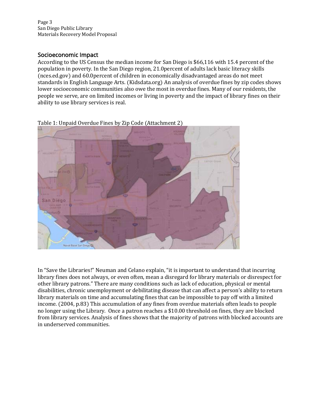Page 3 San Diego Public Library Materials Recovery Model Proposal

### Socioeconomic Impact

According to the US Census the median income for San Diego is \$66,116 with 15.4 percent of the population in poverty. In the San Diego region, 21.0percent of adults lack basic literacy skills (nces.ed.gov) and 60.0percent of children in economically disadvantaged areas do not meet standards in English Language Arts. (Kidsdata.org) An analysis of overdue fines by zip codes shows lower socioeconomic communities also owe the most in overdue fines. Many of our residents, the people we serve, are on limited incomes or living in poverty and the impact of library fines on their ability to use library services is real.



Table 1: Unpaid Overdue Fines by Zip Code (Attachment 2)

In "Save the Libraries!" Neuman and Celano explain, "it is important to understand that incurring library fines does not always, or even often, mean a disregard for library materials or disrespect for other library patrons." There are many conditions such as lack of education, physical or mental disabilities, chronic unemployment or debilitating disease that can affect a person's ability to return library materials on time and accumulating fines that can be impossible to pay off with a limited income. (2004, p.83) This accumulation of any fines from overdue materials often leads to people no longer using the Library. Once a patron reaches a \$10.00 threshold on fines, they are blocked from library services. Analysis of fines shows that the majority of patrons with blocked accounts are in underserved communities.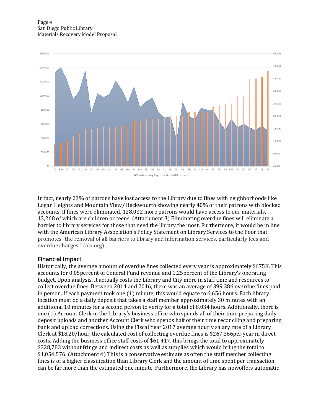

In fact, nearly 23% of patrons have lost access to the Library due to fines with neighborhoods like Logan Heights and Mountain View/ Beckwourth showing nearly 40% of their patrons with blocked accounts. If fines were eliminated, 128,032 more patrons would have access to our materials, 13,268 of which are children or teens. (Attachment 3) Eliminating overdue fines will eliminate a barrier to library services for those that need the library the most. Furthermore, it would be in line with the American Library Association's Policy Statement on Library Services to the Poor that promotes "the removal of all barriers to library and information services, particularly fees and overdue charges." (ala.org)

# Financial Impact

Historically, the average amount of overdue fines collected every year is approximately \$675K. This accounts for 0.05percent of General Fund revenue and 1.25percent of the Library's operating budget. Upon analysis, it actually costs the Library and City more in staff time and resources to collect overdue fines. Between 2014 and 2016, there was an average of 399,386 overdue fines paid in person. If each payment took one (1) minute, this would equate to 6,656 hours. Each library location must do a daily deposit that takes a staff member approximately 30 minutes with an additional 10 minutes for a second person to verify for a total of 8,034 hours. Additionally, there is one (1) Account Clerk in the Library's business office who spends all of their time preparing daily deposit uploads and another Account Clerk who spends half of their time reconciling and preparing bank and upload corrections. Using the Fiscal Year 2017 average hourly salary rate of a Library Clerk at \$18.20/hour, the calculated cost of collecting overdue fines is \$267,366per year in direct costs. Adding the business office staff costs of \$61,417, this brings the total to approximately \$328,783 without fringe and indirect costs as well as supplies which would bring the total to \$1,054,576. (Attachment 4) This is a conservative estimate as often the staff member collecting fines is of a higher classification than Library Clerk and the amount of time spent per transaction can be far more than the estimated one minute. Furthermore, the Library has nowoffers automatic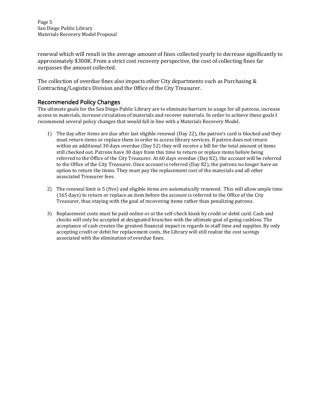Page 5 San Diego Public Library Materials Recovery Model Proposal

renewal which will result in the average amount of fines collected yearly to decrease significantly to approximately \$300K. From a strict cost recovery perspective, the cost of collecting fines far surpasses the amount collected.

The collection of overdue fines also impacts other City departments such as Purchasing & Contracting/Logistics Division and the Office of the City Treasurer.

#### Recommended Policy Changes

The ultimate goals for the San Diego Public Library are to eliminate barriers to usage for all patrons, increase access to materials, increase circulation of materials and recover materials. In order to achieve these goals I recommend several policy changes that would fall in line with a Materials Recovery Model.

- 1) The day after items are due after last eligible renewal (Day 22), the patron's card is blocked and they must return items or replace them in order to access library services. If patron does not return within an additional 30 days overdue (Day 52) they will receive a bill for the total amount of items still checked out. Patrons have 30 days from this time to return or replace items before being referred to the Office of the City Treasurer. At 60 days overdue (Day 82), the account will be referred to the Office of the City Treasurer. Once account is referred (Day 82), the patrons no longer have an option to return the items. They must pay the replacement cost of the materials and all other associated Treasurer fees.
- 2) The renewal limit is 5 (five) and eligible items are automatically renewed. This will allow ample time (165 days) to return or replace an item before the account is referred to the Office of the City Treasurer, thus staying with the goal of recovering items rather than penalizing patrons.
- 3) Replacement costs must be paid online or at the self-check kiosk by credit or debit card. Cash and checks will only be accepted at designated branches with the ultimate goal of going cashless. The acceptance of cash creates the greatest financial impact in regards to staff time and supplies. By only accepting credit or debit for replacement costs, the Library will still realize the cost savings associated with the elimination of overdue fines.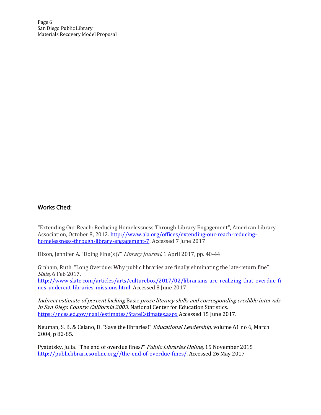Page 6 San Diego Public Library Materials Recovery Model Proposal

#### Works Cited:

"Extending Our Reach: Reducing Homelessness Through Library Engagement", American Library Association, October 8, 2012. [http://www.ala.org/offices/extending-our-reach-reducing](http://www.ala.org/offices/extending-our-reach-reducing-homelessness-through-library-engagement-7)[homelessness-through-library-engagement-7.](http://www.ala.org/offices/extending-our-reach-reducing-homelessness-through-library-engagement-7) Accessed 7 June 2017

Dixon, Jennifer A. "Doing Fine(s)?" Library Journal, 1 April 2017, pp. 40-44

Graham, Ruth. "Long Overdue: Why public libraries are finally eliminating the late-return fine" Slate, 6 Feb 2017,

[http://www.slate.com/articles/arts/culturebox/2017/02/librarians\\_are\\_realizing\\_that\\_overdue\\_fi](http://www.slate.com/articles/arts/culturebox/2017/02/librarians_are_realizing_that_overdue_fines_undercut_libraries_missions.html) [nes\\_undercut\\_libraries\\_missions.html.](http://www.slate.com/articles/arts/culturebox/2017/02/librarians_are_realizing_that_overdue_fines_undercut_libraries_missions.html) Accessed 8 June 2017

Indirect estimate of percent lacking Basic prose literacy skills and corresponding credible intervals in San Diego County: California 2003. National Center for Education Statistics. <https://nces.ed.gov/naal/estimates/StateEstimates.aspx> Accessed 15 June 2017.

Neuman, S. B. & Celano, D. "Save the libraries!" *Educational Leadership*, volume 61 no 6, March 2004, p 82-85.

Pyatetsky, Julia. "The end of overdue fines?" Public Libraries Online, 15 November 2015 [http://publiclibrariesonline.org//the-end-of-overdue-fines/.](http://publiclibrariesonline.org/the-end-of-overdue-fines/) Accessed 26 May 2017